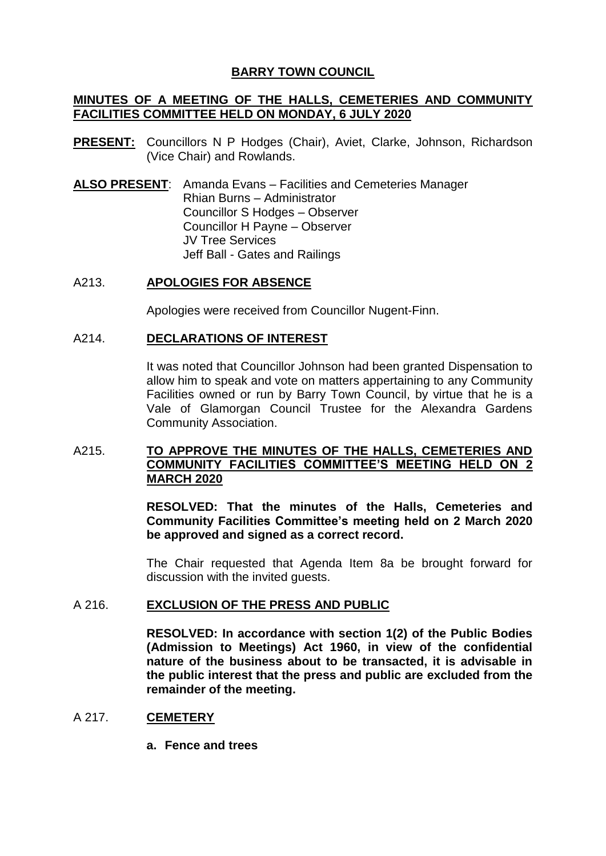# **BARRY TOWN COUNCIL**

# **MINUTES OF A MEETING OF THE HALLS, CEMETERIES AND COMMUNITY FACILITIES COMMITTEE HELD ON MONDAY, 6 JULY 2020**

- **PRESENT:** Councillors N P Hodges (Chair), Aviet, Clarke, Johnson, Richardson (Vice Chair) and Rowlands.
- **ALSO PRESENT**: Amanda Evans Facilities and Cemeteries Manager Rhian Burns – Administrator Councillor S Hodges – Observer Councillor H Payne – Observer JV Tree Services Jeff Ball - Gates and Railings

# A213. **APOLOGIES FOR ABSENCE**

Apologies were received from Councillor Nugent-Finn.

## A214. **DECLARATIONS OF INTEREST**

It was noted that Councillor Johnson had been granted Dispensation to allow him to speak and vote on matters appertaining to any Community Facilities owned or run by Barry Town Council, by virtue that he is a Vale of Glamorgan Council Trustee for the Alexandra Gardens Community Association.

# A215. **TO APPROVE THE MINUTES OF THE HALLS, CEMETERIES AND COMMUNITY FACILITIES COMMITTEE'S MEETING HELD ON 2 MARCH 2020**

**RESOLVED: That the minutes of the Halls, Cemeteries and Community Facilities Committee's meeting held on 2 March 2020 be approved and signed as a correct record.**

The Chair requested that Agenda Item 8a be brought forward for discussion with the invited guests.

### A 216. **EXCLUSION OF THE PRESS AND PUBLIC**

**RESOLVED: In accordance with section 1(2) of the Public Bodies (Admission to Meetings) Act 1960, in view of the confidential nature of the business about to be transacted, it is advisable in the public interest that the press and public are excluded from the remainder of the meeting.**

## A 217. **CEMETERY**

**a. Fence and trees**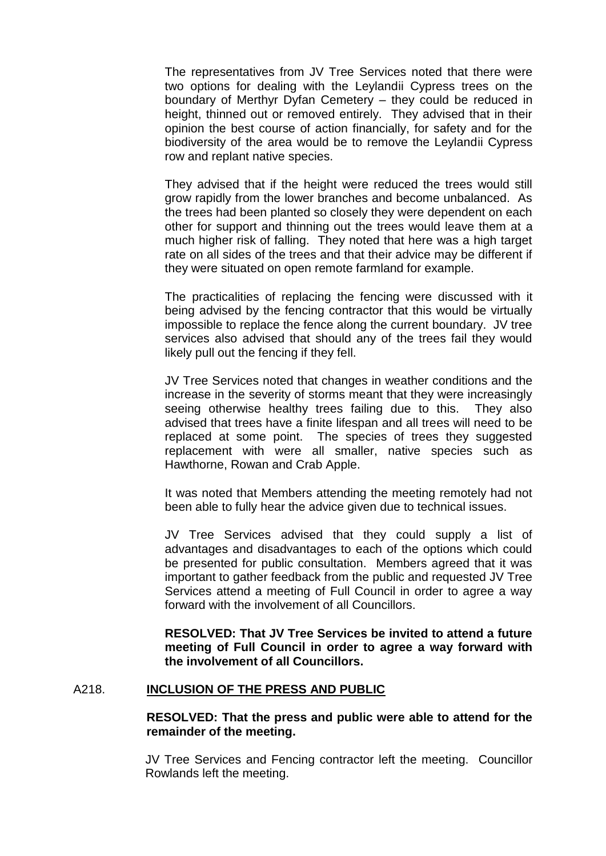The representatives from JV Tree Services noted that there were two options for dealing with the Leylandii Cypress trees on the boundary of Merthyr Dyfan Cemetery – they could be reduced in height, thinned out or removed entirely. They advised that in their opinion the best course of action financially, for safety and for the biodiversity of the area would be to remove the Leylandii Cypress row and replant native species.

They advised that if the height were reduced the trees would still grow rapidly from the lower branches and become unbalanced. As the trees had been planted so closely they were dependent on each other for support and thinning out the trees would leave them at a much higher risk of falling. They noted that here was a high target rate on all sides of the trees and that their advice may be different if they were situated on open remote farmland for example.

The practicalities of replacing the fencing were discussed with it being advised by the fencing contractor that this would be virtually impossible to replace the fence along the current boundary. JV tree services also advised that should any of the trees fail they would likely pull out the fencing if they fell.

JV Tree Services noted that changes in weather conditions and the increase in the severity of storms meant that they were increasingly seeing otherwise healthy trees failing due to this. They also advised that trees have a finite lifespan and all trees will need to be replaced at some point. The species of trees they suggested replacement with were all smaller, native species such as Hawthorne, Rowan and Crab Apple.

It was noted that Members attending the meeting remotely had not been able to fully hear the advice given due to technical issues.

JV Tree Services advised that they could supply a list of advantages and disadvantages to each of the options which could be presented for public consultation. Members agreed that it was important to gather feedback from the public and requested JV Tree Services attend a meeting of Full Council in order to agree a way forward with the involvement of all Councillors.

**RESOLVED: That JV Tree Services be invited to attend a future meeting of Full Council in order to agree a way forward with the involvement of all Councillors.**

### A218. **INCLUSION OF THE PRESS AND PUBLIC**

## **RESOLVED: That the press and public were able to attend for the remainder of the meeting.**

JV Tree Services and Fencing contractor left the meeting. Councillor Rowlands left the meeting.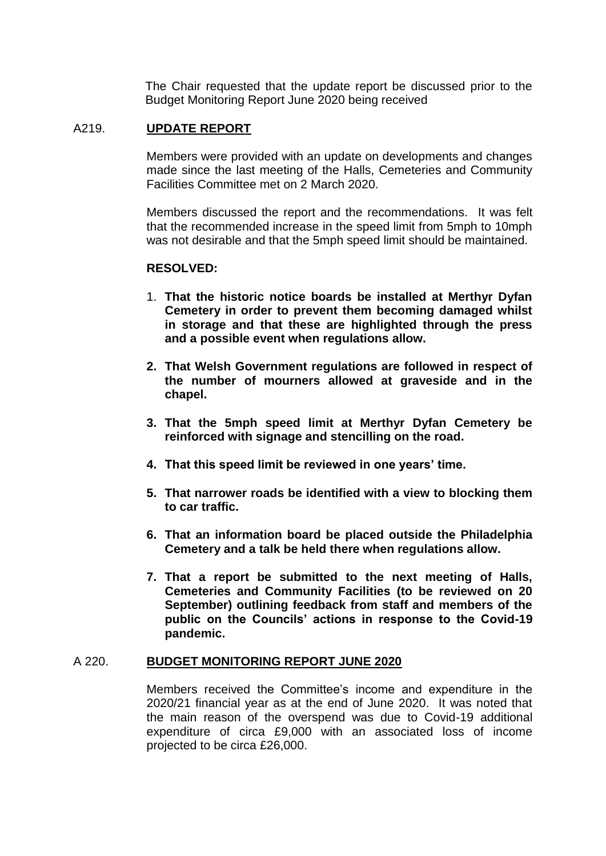The Chair requested that the update report be discussed prior to the Budget Monitoring Report June 2020 being received

## A219. **UPDATE REPORT**

Members were provided with an update on developments and changes made since the last meeting of the Halls, Cemeteries and Community Facilities Committee met on 2 March 2020.

Members discussed the report and the recommendations. It was felt that the recommended increase in the speed limit from 5mph to 10mph was not desirable and that the 5mph speed limit should be maintained.

## **RESOLVED:**

- 1. **That the historic notice boards be installed at Merthyr Dyfan Cemetery in order to prevent them becoming damaged whilst in storage and that these are highlighted through the press and a possible event when regulations allow.**
- **2. That Welsh Government regulations are followed in respect of the number of mourners allowed at graveside and in the chapel.**
- **3. That the 5mph speed limit at Merthyr Dyfan Cemetery be reinforced with signage and stencilling on the road.**
- **4. That this speed limit be reviewed in one years' time.**
- **5. That narrower roads be identified with a view to blocking them to car traffic.**
- **6. That an information board be placed outside the Philadelphia Cemetery and a talk be held there when regulations allow.**
- **7. That a report be submitted to the next meeting of Halls, Cemeteries and Community Facilities (to be reviewed on 20 September) outlining feedback from staff and members of the public on the Councils' actions in response to the Covid-19 pandemic.**

### A 220. **BUDGET MONITORING REPORT JUNE 2020**

Members received the Committee's income and expenditure in the 2020/21 financial year as at the end of June 2020. It was noted that the main reason of the overspend was due to Covid-19 additional expenditure of circa £9,000 with an associated loss of income projected to be circa £26,000.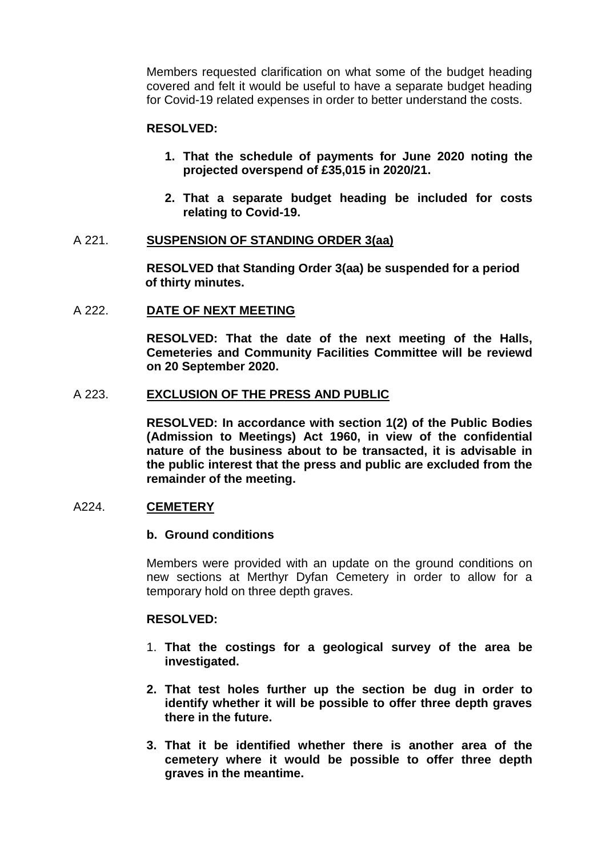Members requested clarification on what some of the budget heading covered and felt it would be useful to have a separate budget heading for Covid-19 related expenses in order to better understand the costs.

## **RESOLVED:**

- **1. That the schedule of payments for June 2020 noting the projected overspend of £35,015 in 2020/21.**
- **2. That a separate budget heading be included for costs relating to Covid-19.**

### A 221. **SUSPENSION OF STANDING ORDER 3(aa)**

**RESOLVED that Standing Order 3(aa) be suspended for a period of thirty minutes.**

#### A 222. **DATE OF NEXT MEETING**

**RESOLVED: That the date of the next meeting of the Halls, Cemeteries and Community Facilities Committee will be reviewd on 20 September 2020.**

#### A 223. **EXCLUSION OF THE PRESS AND PUBLIC**

**RESOLVED: In accordance with section 1(2) of the Public Bodies (Admission to Meetings) Act 1960, in view of the confidential nature of the business about to be transacted, it is advisable in the public interest that the press and public are excluded from the remainder of the meeting.**

# A224. **CEMETERY**

#### **b. Ground conditions**

Members were provided with an update on the ground conditions on new sections at Merthyr Dyfan Cemetery in order to allow for a temporary hold on three depth graves.

#### **RESOLVED:**

- 1. **That the costings for a geological survey of the area be investigated.**
- **2. That test holes further up the section be dug in order to identify whether it will be possible to offer three depth graves there in the future.**
- **3. That it be identified whether there is another area of the cemetery where it would be possible to offer three depth graves in the meantime.**